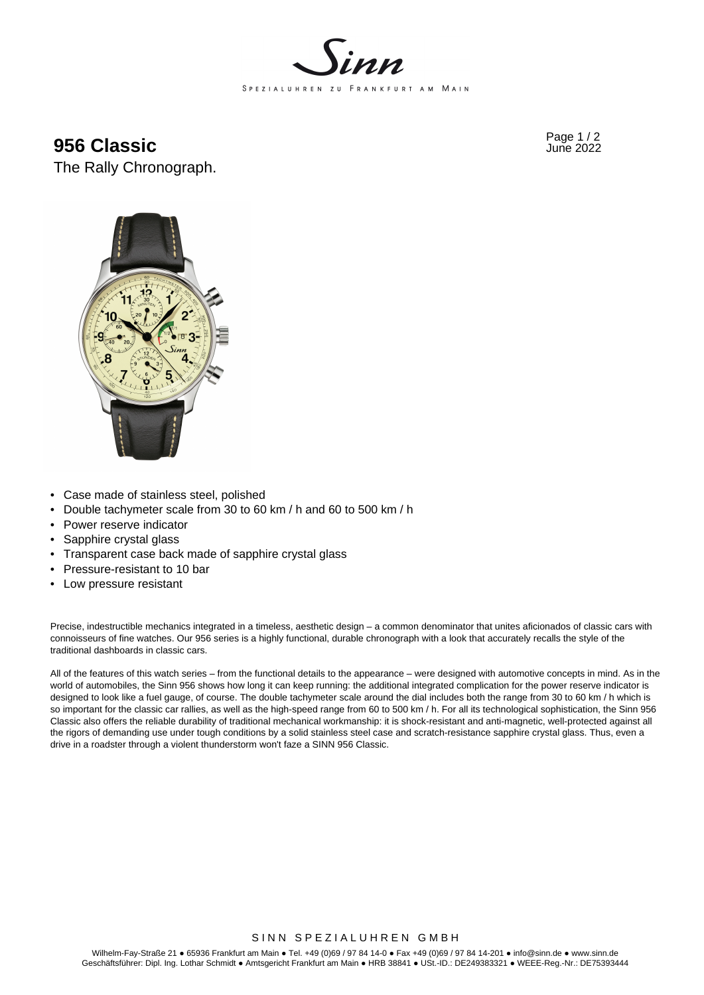

Page 1 / 2 **956 Classic** June 2022

The Rally Chronograph.



- Case made of stainless steel, polished
- Double tachymeter scale from 30 to 60 km / h and 60 to 500 km / h
- Power reserve indicator
- Sapphire crystal glass
- Transparent case back made of sapphire crystal glass
- Pressure-resistant to 10 bar
- Low pressure resistant

Precise, indestructible mechanics integrated in a timeless, aesthetic design – a common denominator that unites aficionados of classic cars with connoisseurs of fine watches. Our 956 series is a highly functional, durable chronograph with a look that accurately recalls the style of the traditional dashboards in classic cars.

All of the features of this watch series – from the functional details to the appearance – were designed with automotive concepts in mind. As in the world of automobiles, the Sinn 956 shows how long it can keep running: the additional integrated complication for the power reserve indicator is designed to look like a fuel gauge, of course. The double tachymeter scale around the dial includes both the range from 30 to 60 km / h which is so important for the classic car rallies, as well as the high-speed range from 60 to 500 km / h. For all its technological sophistication, the Sinn 956 Classic also offers the reliable durability of traditional mechanical workmanship: it is shock-resistant and anti-magnetic, well-protected against all the rigors of demanding use under tough conditions by a solid stainless steel case and scratch-resistance sapphire crystal glass. Thus, even a drive in a roadster through a violent thunderstorm won't faze a SINN 956 Classic.

## SINN SPEZIALUHREN GMBH